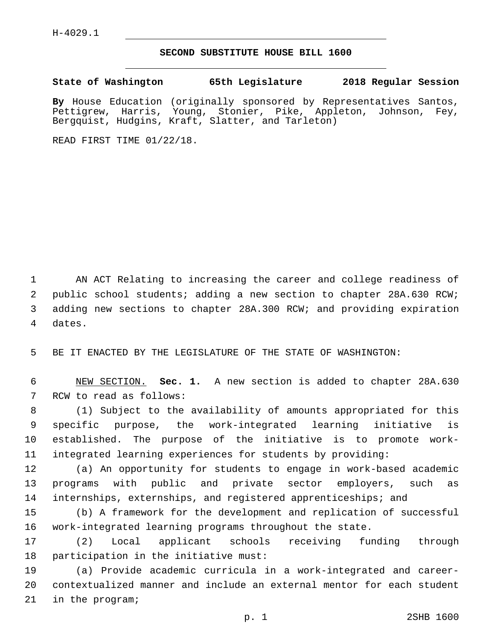H-4029.1

## **SECOND SUBSTITUTE HOUSE BILL 1600**

**State of Washington 65th Legislature 2018 Regular Session**

**By** House Education (originally sponsored by Representatives Santos, Pettigrew, Harris, Young, Stonier, Pike, Appleton, Johnson, Fey, Bergquist, Hudgins, Kraft, Slatter, and Tarleton)

READ FIRST TIME 01/22/18.

 AN ACT Relating to increasing the career and college readiness of public school students; adding a new section to chapter 28A.630 RCW; adding new sections to chapter 28A.300 RCW; and providing expiration 4 dates.

5 BE IT ENACTED BY THE LEGISLATURE OF THE STATE OF WASHINGTON:

6 NEW SECTION. **Sec. 1.** A new section is added to chapter 28A.630 7 RCW to read as follows:

 (1) Subject to the availability of amounts appropriated for this specific purpose, the work-integrated learning initiative is established. The purpose of the initiative is to promote work-integrated learning experiences for students by providing:

12 (a) An opportunity for students to engage in work-based academic 13 programs with public and private sector employers, such as 14 internships, externships, and registered apprenticeships; and

15 (b) A framework for the development and replication of successful 16 work-integrated learning programs throughout the state.

17 (2) Local applicant schools receiving funding through 18 participation in the initiative must:

19 (a) Provide academic curricula in a work-integrated and career-20 contextualized manner and include an external mentor for each student 21 in the program;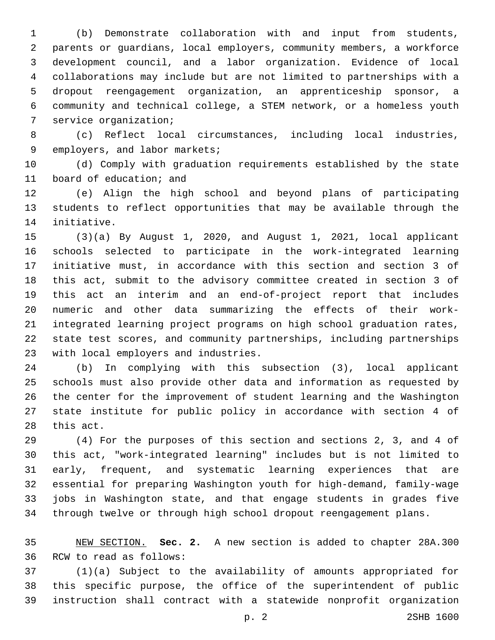(b) Demonstrate collaboration with and input from students, parents or guardians, local employers, community members, a workforce development council, and a labor organization. Evidence of local collaborations may include but are not limited to partnerships with a dropout reengagement organization, an apprenticeship sponsor, a community and technical college, a STEM network, or a homeless youth 7 service organization;

 (c) Reflect local circumstances, including local industries, 9 employers, and labor markets;

 (d) Comply with graduation requirements established by the state 11 board of education; and

 (e) Align the high school and beyond plans of participating students to reflect opportunities that may be available through the 14 initiative.

 (3)(a) By August 1, 2020, and August 1, 2021, local applicant schools selected to participate in the work-integrated learning initiative must, in accordance with this section and section 3 of this act, submit to the advisory committee created in section 3 of this act an interim and an end-of-project report that includes numeric and other data summarizing the effects of their work- integrated learning project programs on high school graduation rates, state test scores, and community partnerships, including partnerships 23 with local employers and industries.

 (b) In complying with this subsection (3), local applicant schools must also provide other data and information as requested by the center for the improvement of student learning and the Washington state institute for public policy in accordance with section 4 of 28 this act.

 (4) For the purposes of this section and sections 2, 3, and 4 of this act, "work-integrated learning" includes but is not limited to early, frequent, and systematic learning experiences that are essential for preparing Washington youth for high-demand, family-wage jobs in Washington state, and that engage students in grades five through twelve or through high school dropout reengagement plans.

 NEW SECTION. **Sec. 2.** A new section is added to chapter 28A.300 36 RCW to read as follows:

 (1)(a) Subject to the availability of amounts appropriated for this specific purpose, the office of the superintendent of public instruction shall contract with a statewide nonprofit organization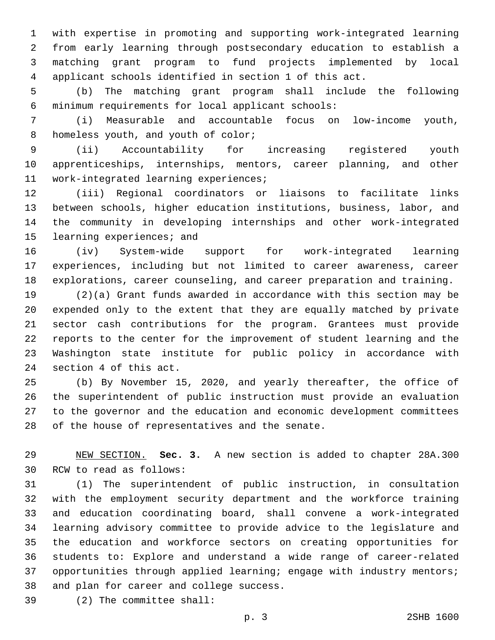with expertise in promoting and supporting work-integrated learning from early learning through postsecondary education to establish a matching grant program to fund projects implemented by local applicant schools identified in section 1 of this act.

 (b) The matching grant program shall include the following minimum requirements for local applicant schools:6

 (i) Measurable and accountable focus on low-income youth, 8 homeless youth, and youth of color;

 (ii) Accountability for increasing registered youth apprenticeships, internships, mentors, career planning, and other 11 work-integrated learning experiences;

 (iii) Regional coordinators or liaisons to facilitate links between schools, higher education institutions, business, labor, and the community in developing internships and other work-integrated 15 learning experiences; and

 (iv) System-wide support for work-integrated learning experiences, including but not limited to career awareness, career explorations, career counseling, and career preparation and training.

 (2)(a) Grant funds awarded in accordance with this section may be expended only to the extent that they are equally matched by private sector cash contributions for the program. Grantees must provide reports to the center for the improvement of student learning and the Washington state institute for public policy in accordance with 24 section 4 of this act.

 (b) By November 15, 2020, and yearly thereafter, the office of the superintendent of public instruction must provide an evaluation to the governor and the education and economic development committees 28 of the house of representatives and the senate.

 NEW SECTION. **Sec. 3.** A new section is added to chapter 28A.300 30 RCW to read as follows:

 (1) The superintendent of public instruction, in consultation with the employment security department and the workforce training and education coordinating board, shall convene a work-integrated learning advisory committee to provide advice to the legislature and the education and workforce sectors on creating opportunities for students to: Explore and understand a wide range of career-related 37 opportunities through applied learning; engage with industry mentors; 38 and plan for career and college success.

(2) The committee shall:39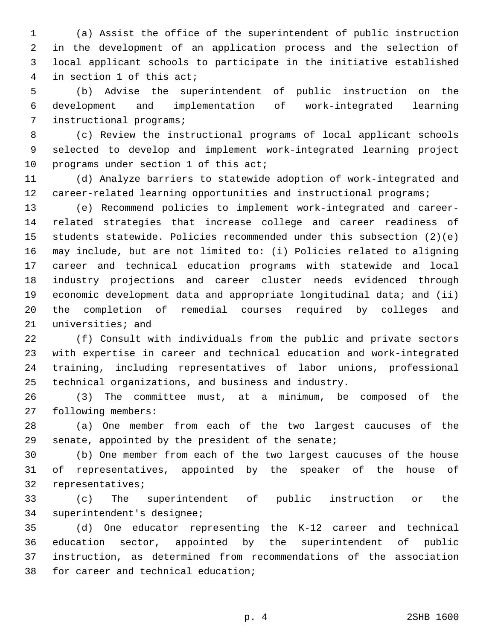(a) Assist the office of the superintendent of public instruction in the development of an application process and the selection of local applicant schools to participate in the initiative established 4 in section 1 of this act;

 (b) Advise the superintendent of public instruction on the development and implementation of work-integrated learning 7 instructional programs;

 (c) Review the instructional programs of local applicant schools selected to develop and implement work-integrated learning project 10 programs under section 1 of this  $acti$ 

 (d) Analyze barriers to statewide adoption of work-integrated and 12 career-related learning opportunities and instructional programs;

 (e) Recommend policies to implement work-integrated and career- related strategies that increase college and career readiness of students statewide. Policies recommended under this subsection (2)(e) may include, but are not limited to: (i) Policies related to aligning career and technical education programs with statewide and local industry projections and career cluster needs evidenced through economic development data and appropriate longitudinal data; and (ii) the completion of remedial courses required by colleges and 21 universities; and

 (f) Consult with individuals from the public and private sectors with expertise in career and technical education and work-integrated training, including representatives of labor unions, professional technical organizations, and business and industry.

 (3) The committee must, at a minimum, be composed of the 27 following members:

 (a) One member from each of the two largest caucuses of the senate, appointed by the president of the senate;

 (b) One member from each of the two largest caucuses of the house of representatives, appointed by the speaker of the house of 32 representatives;

 (c) The superintendent of public instruction or the 34 superintendent's designee;

 (d) One educator representing the K-12 career and technical education sector, appointed by the superintendent of public instruction, as determined from recommendations of the association 38 for career and technical education;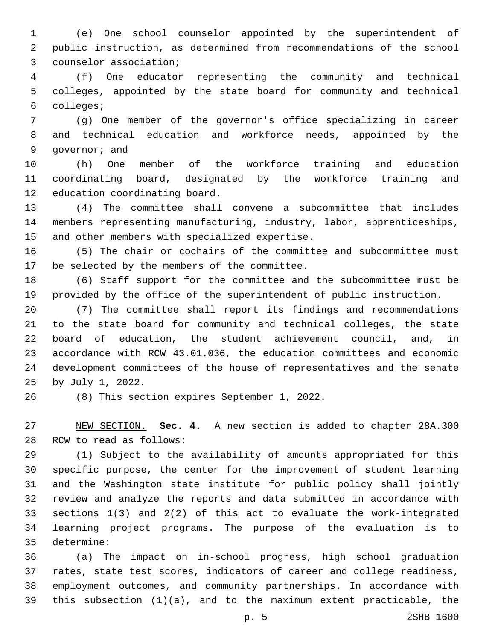(e) One school counselor appointed by the superintendent of public instruction, as determined from recommendations of the school 3 counselor association;

 (f) One educator representing the community and technical colleges, appointed by the state board for community and technical colleges;6

 (g) One member of the governor's office specializing in career and technical education and workforce needs, appointed by the 9 qovernor; and

 (h) One member of the workforce training and education coordinating board, designated by the workforce training and 12 education coordinating board.

 (4) The committee shall convene a subcommittee that includes members representing manufacturing, industry, labor, apprenticeships, 15 and other members with specialized expertise.

 (5) The chair or cochairs of the committee and subcommittee must 17 be selected by the members of the committee.

 (6) Staff support for the committee and the subcommittee must be provided by the office of the superintendent of public instruction.

 (7) The committee shall report its findings and recommendations to the state board for community and technical colleges, the state board of education, the student achievement council, and, in accordance with RCW 43.01.036, the education committees and economic development committees of the house of representatives and the senate 25 by July 1, 2022.

26 (8) This section expires September 1, 2022.

 NEW SECTION. **Sec. 4.** A new section is added to chapter 28A.300 28 RCW to read as follows:

 (1) Subject to the availability of amounts appropriated for this specific purpose, the center for the improvement of student learning and the Washington state institute for public policy shall jointly review and analyze the reports and data submitted in accordance with sections 1(3) and 2(2) of this act to evaluate the work-integrated learning project programs. The purpose of the evaluation is to determine:35

 (a) The impact on in-school progress, high school graduation rates, state test scores, indicators of career and college readiness, employment outcomes, and community partnerships. In accordance with this subsection (1)(a), and to the maximum extent practicable, the

p. 5 2SHB 1600